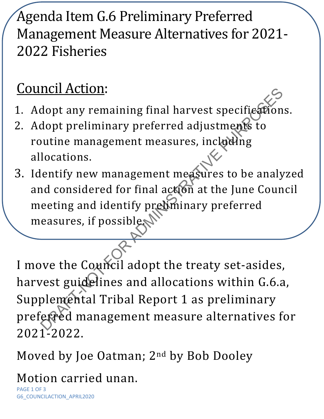## Agenda Item G.6 Preliminary Preferred Management Measure Alternatives for 2021- 2022 Fisheries

## Council Action:

- 1. Adopt any remaining final harvest specifications.
- 2. Adopt preliminary preferred adjustments to routine management measures, including allocations.
- 3. Identify new management measures to be analyzed and considered for final action at the June Council meeting and identify preliminary preferred measures, if possible.

not any remaining final harvest specifiestions<br>dopt any remaining final harvest specifiestions<br>dopt preliminary preferred adjustments to<br>butine management measures, incloding<br>locations.<br>lentify new management measures to b I move the Council adopt the treaty set-asides, harvest guidelines and allocations within G.6.a, Supplemental Tribal Report 1 as preliminary preferred management measure alternatives for 2021-2022.

Moved by Joe Oatman; 2nd by Bob Dooley

Motion carried unan.

PAGE 1 OF 3 G6\_COUNCILACTION\_APRIL2020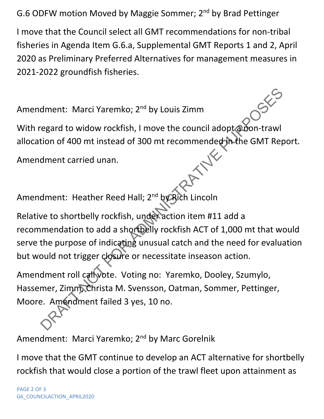G.6 ODFW motion Moved by Maggie Sommer; 2<sup>nd</sup> by Brad Pettinger

I move that the Council select all GMT recommendations for non-tribal fisheries in Agenda Item G.6.a, Supplemental GMT Reports 1 and 2, April 2020 as Preliminary Preferred Alternatives for management measures in 2021-2022 groundfish fisheries.

Amendment: Marci Yaremko; 2<sup>nd</sup> by Louis Zimm

With regard to widow rockfish, I move the council adopt a non-trawl allocation of 400 mt instead of 300 mt recommended in the GMT Report.<br>Amendment carried unan.

Amendment carried unan.

Amendment: Heather Reed Hall; 2<sup>nd</sup> by Rich Lincoln

dment: Marci Yaremko; 2<sup>nd</sup> by Louis Zimm<br>
egard to widow rockfish, I move the council adopt abon-trawl<br>
tion of 400 mt instead of 300 mt recommended the GMT Rep<br>
dment carried unan.<br>
dment carried unan.<br>
dment: Heather Re Relative to shortbelly rockfish, under action item #11 add a recommendation to add a shortbelly rockfish ACT of 1,000 mt that would serve the purpose of indicating unusual catch and the need for evaluation but would not trigger closure or necessitate inseason action.

Amendment roll call vote. Voting no: Yaremko, Dooley, Szumylo, Hassemer, Zimm, Christa M. Svensson, Oatman, Sommer, Pettinger, Moore. Amendment failed 3 yes, 10 no.

Amendment: Marci Yaremko; 2<sup>nd</sup> by Marc Gorelnik

I move that the GMT continue to develop an ACT alternative for shortbelly rockfish that would close a portion of the trawl fleet upon attainment as